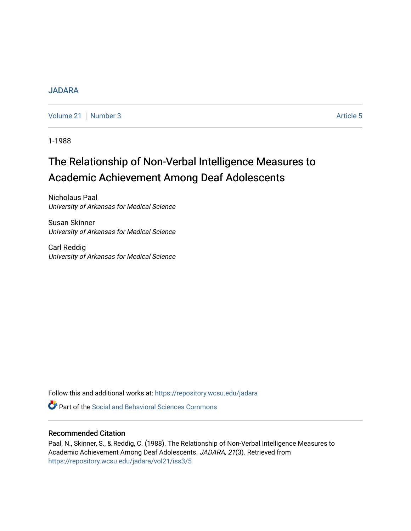# [JADARA](https://repository.wcsu.edu/jadara)

[Volume 21](https://repository.wcsu.edu/jadara/vol21) | [Number 3](https://repository.wcsu.edu/jadara/vol21/iss3) Article 5

1-1988

# The Relationship of Non-Verbal Intelligence Measures to Academic Achievement Among Deaf Adolescents

Nicholaus Paal University of Arkansas for Medical Science

Susan Skinner University of Arkansas for Medical Science

Carl Reddig University of Arkansas for Medical Science

Follow this and additional works at: [https://repository.wcsu.edu/jadara](https://repository.wcsu.edu/jadara?utm_source=repository.wcsu.edu%2Fjadara%2Fvol21%2Fiss3%2F5&utm_medium=PDF&utm_campaign=PDFCoverPages)

**C** Part of the Social and Behavioral Sciences Commons

# Recommended Citation

Paal, N., Skinner, S., & Reddig, C. (1988). The Relationship of Non-Verbal Intelligence Measures to Academic Achievement Among Deaf Adolescents. JADARA, 21(3). Retrieved from [https://repository.wcsu.edu/jadara/vol21/iss3/5](https://repository.wcsu.edu/jadara/vol21/iss3/5?utm_source=repository.wcsu.edu%2Fjadara%2Fvol21%2Fiss3%2F5&utm_medium=PDF&utm_campaign=PDFCoverPages)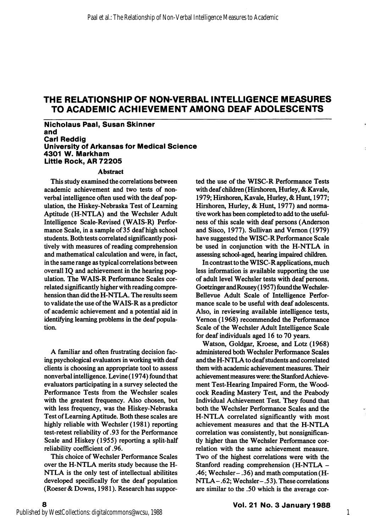Nicholaus Paal, Susan Skinner and Carl Reddig University of Arkansas for Medical Science 4301 W. Markham Littie Rock, AR 72205

#### Abstract

This study examined the correlations between academic achievement and two tests of nonverbal intelligence often used with the deaf pop ulation, the Hiskey-Nebraska Test of Learning Aptitude (H-NTLA) and the Wechsler Adult Intelligence Scale-Revised (WAIS-R) Perfor mance Scale, in a sample of 35 deaf high school students. Both tests correlated significantly posi tively with measures of reading comprehension and mathematical calculation and were, in fact, in the same range as typical correlations between overall IQ and achievement in the hearing pop ulation. The WAIS-R Performance Scales cor related significantly higher with reading compre hension than did the H-NTLA. The results seem to validate the use of the WAIS-R as a predictor of academic achievement and a potential aid in identifying learning problems in the deaf popula tion.

A familiar and often frustrating decision fac ing psychological evaluators in working with deaf clients is choosing an appropriate tool to assess nonverbal intelligence. Levine (1974) found that evaluators participating in a survey selected the Performance Tests from the Wechsler scales with the greatest frequency. Also chosen, but with less frequency, was the Hiskey-Nebraska Test of Learning Aptitude. Both these scales are highly reliable with Wechsler (1981) reporting test-retest reliability of .93 for the Performance Scale and Hiskey (1955) reporting a split-half reliability coefficient of .96.

This choice of Wechsler Performance Scales over the H-NTLA merits study because the H-NTLA is the only test of intellectual abilitites developed specifically for the deaf population (Roeser & Downs, 1981). Research has suppor ted the use of the WISC-R Performance Tests with deaf children (Hirshoren, Hurley, & Kavale, 1979; Hirshoren, Kavale, Hurley, & Hunt, 1977; Hirshoren, Hurley, & Hunt, 1977) and norma tive work has been completed to add to the useful ness of this scale with deaf persons (Anderson and Sisco, 1977). Sullivan and Vemon (1979) have suggested the WlSC-R Performance Scale be used in conjunction with the H-NTLA in assessing school-aged, hearing impaired childrea

In contrast to the WISC-R applications, much less information is available supporting the use of adult level Wechsler tests with deaf persons. Goetzinger andRousey (1957) found the Wechsler-Bellevue Adult Scale of Intelligence Perfor mance scale to be useful with deaf adolescents. Also, in reviewing available intelligence tests, Vemon (1968) recommended the Performance Scale of the Wechsler Adult Intelligence Scale for deaf individuals aged 16 to 70 years.

Watson, Goldgar, Kroese, and Lotz (1968) administered both Wechsler Performance Scales and the H-NTLA to deaf students and correlated them with academic achievement measures. Their achievement measures were: the Stanford Achieve ment Test-Hearing Impaired Form, the Wood cock Reading Mastery Test, and the Peabody Individual Achievement Test. They found that both the Wechsler Performance Scales and the H-NTLA correlated significantly with most achievement measures and that the H-NTLA correlation was consistently, but nonsignificantly higher than the Wechsler Performance cor relation with the same achievement measure. Two of the highest correlations were with the Stanford reading comprehension (H-NTLA - .46; Wechsler- .36) and math computation (H-NTLA- .62; Wechsler- .5 3). These correlations are similar to the .50 which is the average cor-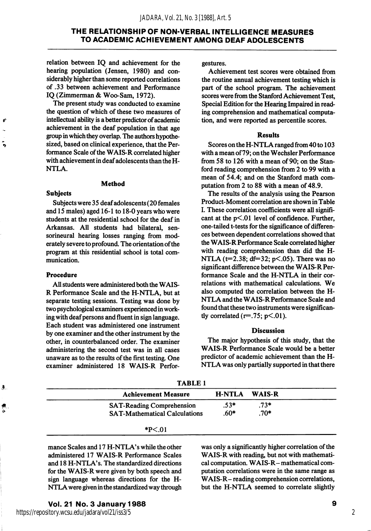relation between IQ and achievement for the hearing population (Jensen, 1980) and con siderably higher than some reported correlations of .33 between achievement and Performance IQ (Zimmerman & Woo-Sam, 1972).

The present study was conducted to examine the question of which of these two measures of intellectual ability is a better predictor of academic achievement in the deaf population in that age group in which they overlap. The authors hypothe sized, based on clinical experience, that the Per formance Scale of the WAIS-R correlated higher with achievement in deaf adolescents than the H-NTLA.

#### Method

#### Subjects

 $\boldsymbol{t}$ 

÷,

Subjects were 35 deaf adolescents (20 females and 15 males) aged 16-1 to 18-0 years who were students at the residential school for the deaf in Arkansas. All students had bilateral, sensorineural hearing losses ranging from mod erately severe to profound. The orientation of the program at this residential school is total com munication.

### Procedure

All students were administered both the WAIS-R Performance Scale and the H-NTLA, but at separate testing sessions. Testing was done by two psychological examiners experienced in work ing with deaf persons and fluent in sign language. Each student was administered one instrument by one examiner and the other instrument by the other, in counterbalanced order. The examiner administering the second test was in all cases unaware as to the results of the first testing. One examiner administered 18 WAIS-R Perforgestures.

Achievement test scores were obtained from the routine annual achievement testing which is part of the school program. The achievement scores were from the Stanford Achievement Test, Special Edition for the Hearing Impaired in read ing comprehension and mathematical computa tion, and were reported as percentile scores.

#### **Results**

Scores on the H-NTLA ranged from 40 to 103 with a mean of 79; on the Wechsler Performance from 58 to 126 with a mean of 90; on the Stan ford reading comprehension from 2 to 99 with a mean of 54.4; and on the Stanford math com putation from 2 to 88 with a mean of 48.9.

The results of the analysis using the Pearson Product-Moment correlation are shown in Table I. These correlation coefficients were all signifi cant at the  $p<.01$  level of confidence. Further, one-tailed t-tests for the significance of differen ces between dependent correlations showed that the WAIS-R Performance Scale correlated higher with reading comprehension than did the H-NTLA ( $t=2.38$ ; df=32; p<.05). There was no significant difference between the WAIS-R Per formance Scale and the H-NTLA in their cor relations with mathematical calculations. We also computed the correlation between the H-NTLA and the WAIS-R Performance Scale and found that these two instruments were significan tly correlated ( $r=.75$ ;  $p<.01$ ).

#### Discussion

The major hypothesis of this study, that the WAIS-R Performance Scale would be a better predictor of academic achievement than the H-NTLA was only partially supported in that there

| Ĵ.,    | <b>TABLE 1</b>                       |               |               |  |
|--------|--------------------------------------|---------------|---------------|--|
|        | <b>Achievement Measure</b>           | <b>H-NTLA</b> | <b>WAIS-R</b> |  |
| 剰<br>۰ | <b>SAT-Reading Comprehension</b>     | $.53*$        | $.73*$        |  |
|        | <b>SAT-Mathematical Calculations</b> | $.60*$        | $.70*$        |  |
|        | $*P<.01$                             |               |               |  |

mance Scales and 17 H-NTLA's while the other administered 17 WAIS-R Performance Scales and 18 H-NTLA's. The standardized directions for the WAIS-R were given by both speech and sign language whereas directions for the H-NTLA were given in the standardized way through was only a significantly higher correlation of the WAIS-R with reading, but not with mathemati cal computation. WAIS-R- mathematical com putation correlations were in the same range as WAIS-R- reading comprehension correlations, but the H-NTLA seemed to correlate slightly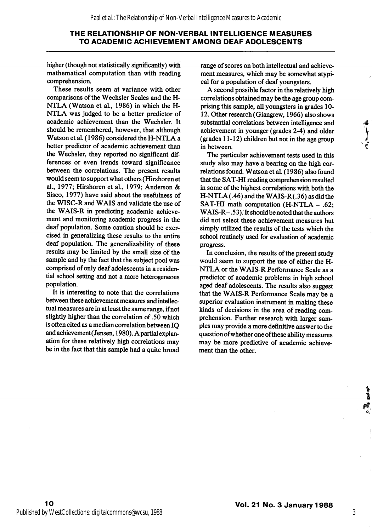higher (though not statistically significantly) with mathematical computation than with reading comprehension.

These results seem at variance with other comparisons of the Wechsler Scales and the H-NTLA (Watson et al, 1986) in which the H-NTLA was judged to be a better predictor of academic achievement than the Wechsler. It should be remembered, however, that although Watson et al. (1986) considered the H-NTLA a better predictor of academic achievement than the Wechsler, they reported no significant dif ferences or even trends toward significance between the correlations. The present results would seem to support what others (Hirshoren et al., 1977; Hirshoren et al., 1979; Anderson & Sisco, 1977) have said about the usefulness of the WISC-R and WAIS and validate the use of the WAIS-R in predicting academic achieve ment and monitoring academic progress in the deaf population. Some caution should be exer cised in generalizing these results to the entire deaf population. The generalizability of these results may be limited by the small size of the sample and by the fact that the subject pool was comprised of only deaf adolescents in a residen tial school setting and not a more heterogeneous population.

It is interesting to note that the correlations between these achievement measures and intellec tual measures are in at least the same range, if not slightly higher than the correlation of .50 which is often cited as a median correlation between IQ and achievement (Jensen, 1980). A partial explan ation for these relatively high correlations may be in the fact that this sample had a quite broad

range of scores on both intellectual and achieve ment measures, which may be somewhat atypi cal for a population of deaf youngsters.

A second possible factor in the relatively high correlations obtained may be the age group com prising this sample, all youngsters in grades 10- 12. Other research (Giangrew, 1966) also shows substantial correlations between intelligence and achievement in younger (grades 2-4) and older (grades 11-12) children but not in the age group in between.

The particular achievement tests used in this study also may have a bearing on the high cor relations found. Watson et al. (1986) also found that the SAT-HI reading comprehension resulted in some of the highest correlations with both the H-NTLA (.46) andthe WAIS-R(.36) as did the SAT-HI math computation (H-NTLA - .62; WAIS-R- .53). It should be noted that the authors did not select these achievement measures but simply utilized the results of the tests which the school routinely used for evaluation of academic progress.

In conclusion, the results of the present study would seem to support the use of either the H-NTLA or the WAIS-R Performance Scale as a predictor of academic problems in high school aged deaf adolescents. The results also suggest that the WAIS-R Performance Scale may be a superior evaluation instrument in making these kinds of decisions in the area of reading com prehension. Further research with larger sam ples may provide a more definitive answer to the question ofwhether one ofthese ability measures may be more predictive of academic achieve ment than the other.

3